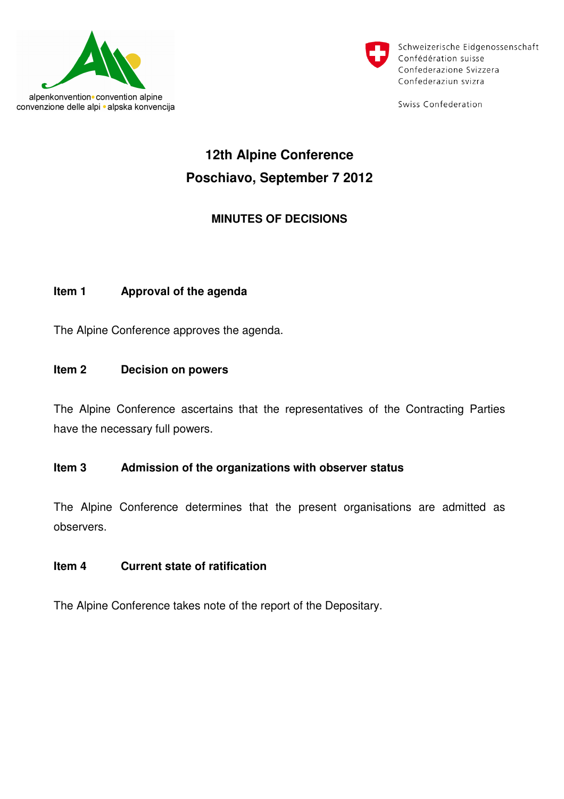



Schweizerische Eidgenossenschaft Confédération suisse Confederazione Svizzera Confederaziun svizra

Swiss Confederation

# **12th Alpine Conference Poschiavo, September 7 2012**

# **MINUTES OF DECISIONS**

#### **Item 1 Approval of the agenda**

The Alpine Conference approves the agenda.

#### **Item 2 Decision on powers**

The Alpine Conference ascertains that the representatives of the Contracting Parties have the necessary full powers.

#### **Item 3 Admission of the organizations with observer status**

The Alpine Conference determines that the present organisations are admitted as observers.

#### **Item 4 Current state of ratification**

The Alpine Conference takes note of the report of the Depositary.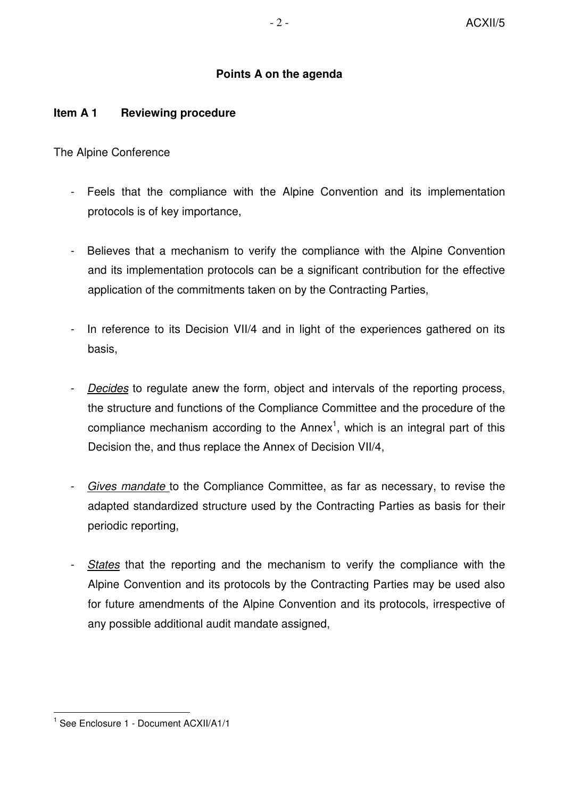## **Points A on the agenda**

#### **Item A 1 Reviewing procedure**

The Alpine Conference

- Feels that the compliance with the Alpine Convention and its implementation protocols is of key importance,
- Believes that a mechanism to verify the compliance with the Alpine Convention and its implementation protocols can be a significant contribution for the effective application of the commitments taken on by the Contracting Parties,
- In reference to its Decision VII/4 and in light of the experiences gathered on its basis,
- Decides to regulate anew the form, object and intervals of the reporting process, the structure and functions of the Compliance Committee and the procedure of the compliance mechanism according to the Annex<sup>1</sup>, which is an integral part of this Decision the, and thus replace the Annex of Decision VII/4,
- Gives mandate to the Compliance Committee, as far as necessary, to revise the adapted standardized structure used by the Contracting Parties as basis for their periodic reporting,
- States that the reporting and the mechanism to verify the compliance with the Alpine Convention and its protocols by the Contracting Parties may be used also for future amendments of the Alpine Convention and its protocols, irrespective of any possible additional audit mandate assigned,

l.

<sup>1</sup> See Enclosure 1 - Document ACXII/A1/1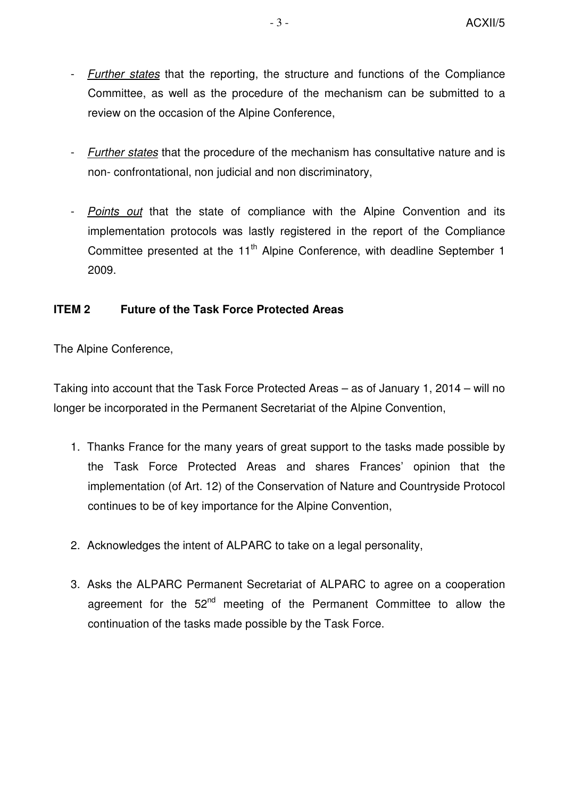- Further states that the reporting, the structure and functions of the Compliance Committee, as well as the procedure of the mechanism can be submitted to a review on the occasion of the Alpine Conference,
- Further states that the procedure of the mechanism has consultative nature and is non- confrontational, non judicial and non discriminatory,
- Points out that the state of compliance with the Alpine Convention and its implementation protocols was lastly registered in the report of the Compliance Committee presented at the 11<sup>th</sup> Alpine Conference, with deadline September 1 2009.

## **ITEM 2 Future of the Task Force Protected Areas**

The Alpine Conference,

Taking into account that the Task Force Protected Areas – as of January 1, 2014 – will no longer be incorporated in the Permanent Secretariat of the Alpine Convention,

- 1. Thanks France for the many years of great support to the tasks made possible by the Task Force Protected Areas and shares Frances' opinion that the implementation (of Art. 12) of the Conservation of Nature and Countryside Protocol continues to be of key importance for the Alpine Convention,
- 2. Acknowledges the intent of ALPARC to take on a legal personality,
- 3. Asks the ALPARC Permanent Secretariat of ALPARC to agree on a cooperation agreement for the  $52<sup>nd</sup>$  meeting of the Permanent Committee to allow the continuation of the tasks made possible by the Task Force.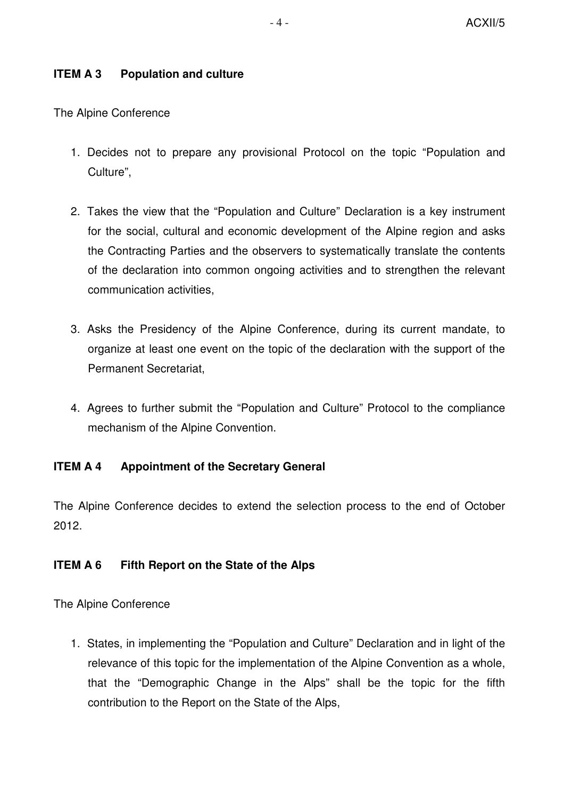# **ITEM A 3 Population and culture**

The Alpine Conference

- 1. Decides not to prepare any provisional Protocol on the topic "Population and Culture",
- 2. Takes the view that the "Population and Culture" Declaration is a key instrument for the social, cultural and economic development of the Alpine region and asks the Contracting Parties and the observers to systematically translate the contents of the declaration into common ongoing activities and to strengthen the relevant communication activities,
- 3. Asks the Presidency of the Alpine Conference, during its current mandate, to organize at least one event on the topic of the declaration with the support of the Permanent Secretariat,
- 4. Agrees to further submit the "Population and Culture" Protocol to the compliance mechanism of the Alpine Convention.

# **ITEM A 4 Appointment of the Secretary General**

The Alpine Conference decides to extend the selection process to the end of October 2012.

# **ITEM A 6 Fifth Report on the State of the Alps**

The Alpine Conference

1. States, in implementing the "Population and Culture" Declaration and in light of the relevance of this topic for the implementation of the Alpine Convention as a whole, that the "Demographic Change in the Alps" shall be the topic for the fifth contribution to the Report on the State of the Alps,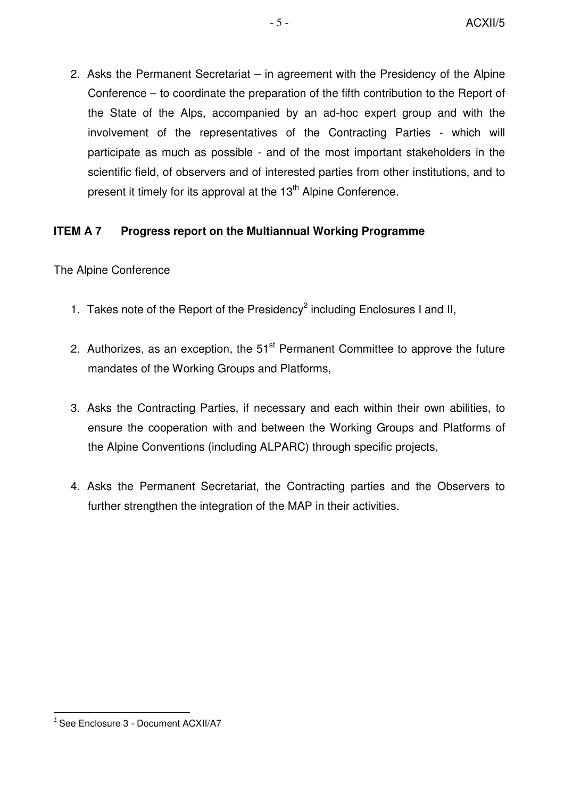2. Asks the Permanent Secretariat – in agreement with the Presidency of the Alpine Conference – to coordinate the preparation of the fifth contribution to the Report of the State of the Alps, accompanied by an ad-hoc expert group and with the involvement of the representatives of the Contracting Parties - which will participate as much as possible - and of the most important stakeholders in the scientific field, of observers and of interested parties from other institutions, and to present it timely for its approval at the  $13<sup>th</sup>$  Alpine Conference.

## **ITEM A 7 Progress report on the Multiannual Working Programme**

## The Alpine Conference

- 1. Takes note of the Report of the Presidency<sup>2</sup> including Enclosures I and II,
- 2. Authorizes, as an exception, the  $51<sup>st</sup>$  Permanent Committee to approve the future mandates of the Working Groups and Platforms,
- 3. Asks the Contracting Parties, if necessary and each within their own abilities, to ensure the cooperation with and between the Working Groups and Platforms of the Alpine Conventions (including ALPARC) through specific projects,
- 4. Asks the Permanent Secretariat, the Contracting parties and the Observers to further strengthen the integration of the MAP in their activities.

 $2$  See Enclosure 3 - Document ACXII/A7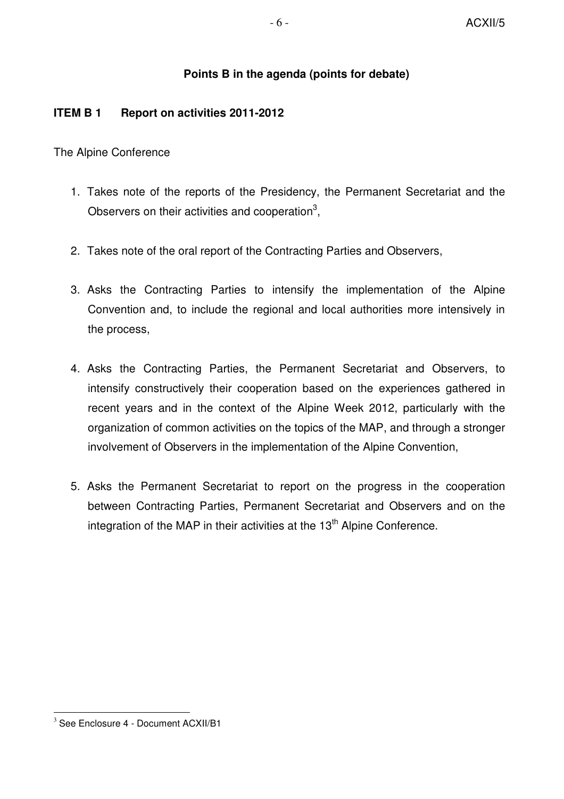## **Points B in the agenda (points for debate)**

#### **ITEM B 1 Report on activities 2011-2012**

The Alpine Conference

- 1. Takes note of the reports of the Presidency, the Permanent Secretariat and the Observers on their activities and cooperation<sup>3</sup>,
- 2. Takes note of the oral report of the Contracting Parties and Observers,
- 3. Asks the Contracting Parties to intensify the implementation of the Alpine Convention and, to include the regional and local authorities more intensively in the process,
- 4. Asks the Contracting Parties, the Permanent Secretariat and Observers, to intensify constructively their cooperation based on the experiences gathered in recent years and in the context of the Alpine Week 2012, particularly with the organization of common activities on the topics of the MAP, and through a stronger involvement of Observers in the implementation of the Alpine Convention,
- 5. Asks the Permanent Secretariat to report on the progress in the cooperation between Contracting Parties, Permanent Secretariat and Observers and on the integration of the MAP in their activities at the 13<sup>th</sup> Alpine Conference.

 $3$  See Enclosure 4 - Document ACXII/B1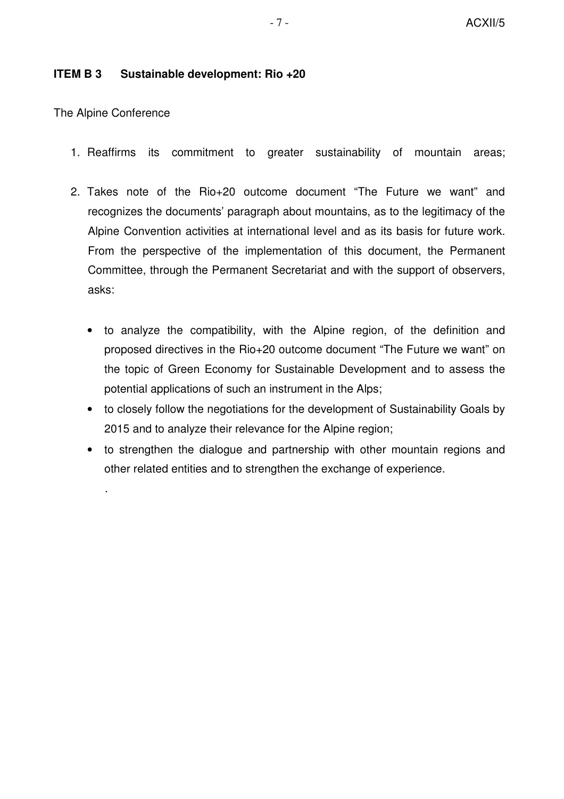#### **ITEM B 3 Sustainable development: Rio +20**

The Alpine Conference

.

- 1. Reaffirms its commitment to greater sustainability of mountain areas;
- 2. Takes note of the Rio+20 outcome document "The Future we want" and recognizes the documents' paragraph about mountains, as to the legitimacy of the Alpine Convention activities at international level and as its basis for future work. From the perspective of the implementation of this document, the Permanent Committee, through the Permanent Secretariat and with the support of observers, asks:
	- to analyze the compatibility, with the Alpine region, of the definition and proposed directives in the Rio+20 outcome document "The Future we want" on the topic of Green Economy for Sustainable Development and to assess the potential applications of such an instrument in the Alps;
	- to closely follow the negotiations for the development of Sustainability Goals by 2015 and to analyze their relevance for the Alpine region;
	- to strengthen the dialogue and partnership with other mountain regions and other related entities and to strengthen the exchange of experience.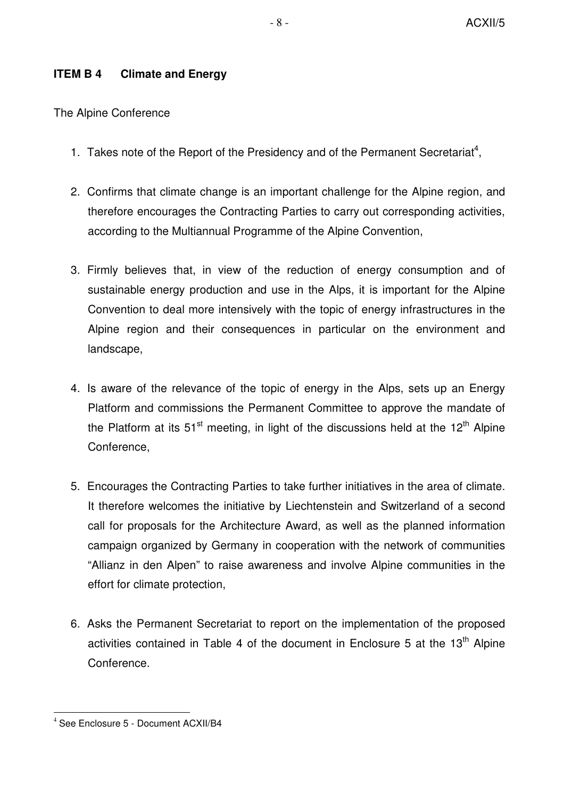## **ITEM B 4 Climate and Energy**

The Alpine Conference

- 1. Takes note of the Report of the Presidency and of the Permanent Secretariat<sup>4</sup>,
- 2. Confirms that climate change is an important challenge for the Alpine region, and therefore encourages the Contracting Parties to carry out corresponding activities, according to the Multiannual Programme of the Alpine Convention,
- 3. Firmly believes that, in view of the reduction of energy consumption and of sustainable energy production and use in the Alps, it is important for the Alpine Convention to deal more intensively with the topic of energy infrastructures in the Alpine region and their consequences in particular on the environment and landscape,
- 4. Is aware of the relevance of the topic of energy in the Alps, sets up an Energy Platform and commissions the Permanent Committee to approve the mandate of the Platform at its 51<sup>st</sup> meeting, in light of the discussions held at the 12<sup>th</sup> Alpine Conference,
- 5. Encourages the Contracting Parties to take further initiatives in the area of climate. It therefore welcomes the initiative by Liechtenstein and Switzerland of a second call for proposals for the Architecture Award, as well as the planned information campaign organized by Germany in cooperation with the network of communities "Allianz in den Alpen" to raise awareness and involve Alpine communities in the effort for climate protection,
- 6. Asks the Permanent Secretariat to report on the implementation of the proposed activities contained in Table 4 of the document in Enclosure 5 at the  $13<sup>th</sup>$  Alpine Conference.

<sup>4</sup> See Enclosure 5 - Document ACXII/B4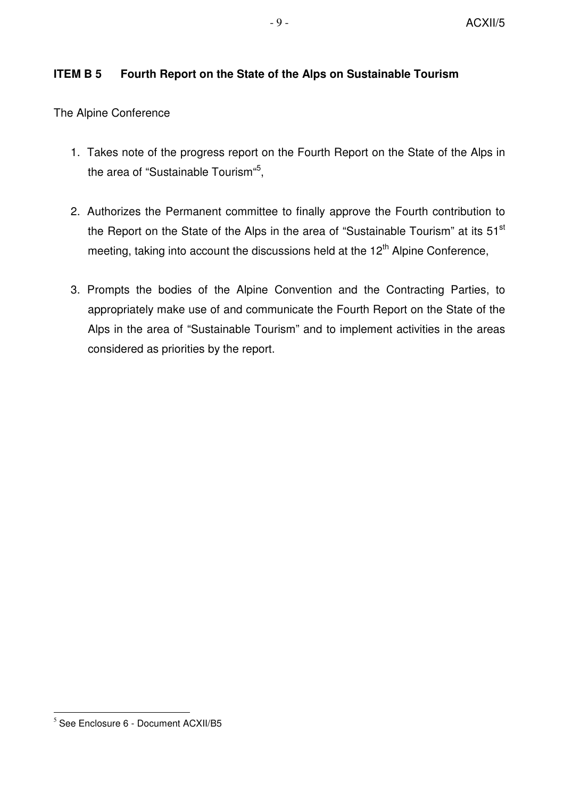# **ITEM B 5 Fourth Report on the State of the Alps on Sustainable Tourism**

The Alpine Conference

- 1. Takes note of the progress report on the Fourth Report on the State of the Alps in the area of "Sustainable Tourism"<sup>5</sup>,
- 2. Authorizes the Permanent committee to finally approve the Fourth contribution to the Report on the State of the Alps in the area of "Sustainable Tourism" at its  $51<sup>st</sup>$ meeting, taking into account the discussions held at the  $12<sup>th</sup>$  Alpine Conference,
- 3. Prompts the bodies of the Alpine Convention and the Contracting Parties, to appropriately make use of and communicate the Fourth Report on the State of the Alps in the area of "Sustainable Tourism" and to implement activities in the areas considered as priorities by the report.

 $<sup>5</sup>$  See Enclosure 6 - Document ACXII/B5</sup>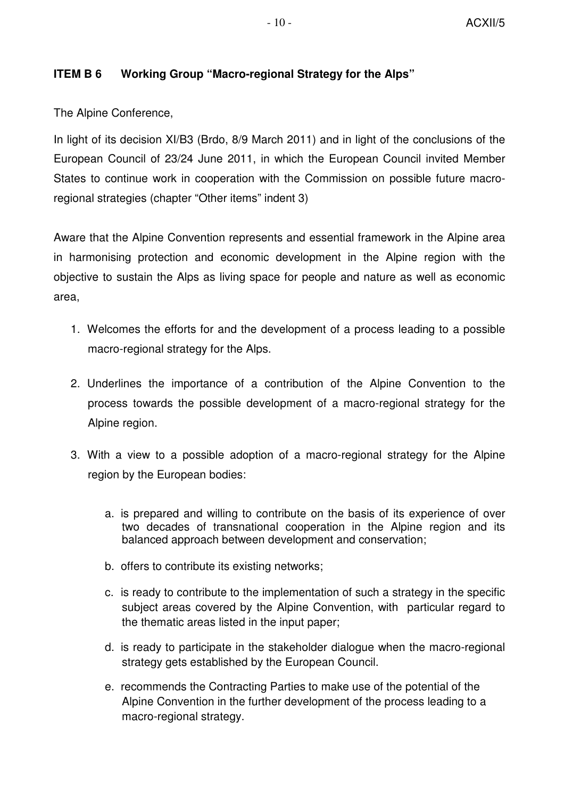#### **ITEM B 6 Working Group "Macro-regional Strategy for the Alps"**

The Alpine Conference,

In light of its decision XI/B3 (Brdo, 8/9 March 2011) and in light of the conclusions of the European Council of 23/24 June 2011, in which the European Council invited Member States to continue work in cooperation with the Commission on possible future macroregional strategies (chapter "Other items" indent 3)

Aware that the Alpine Convention represents and essential framework in the Alpine area in harmonising protection and economic development in the Alpine region with the objective to sustain the Alps as living space for people and nature as well as economic area,

- 1. Welcomes the efforts for and the development of a process leading to a possible macro-regional strategy for the Alps.
- 2. Underlines the importance of a contribution of the Alpine Convention to the process towards the possible development of a macro-regional strategy for the Alpine region.
- 3. With a view to a possible adoption of a macro-regional strategy for the Alpine region by the European bodies:
	- a. is prepared and willing to contribute on the basis of its experience of over two decades of transnational cooperation in the Alpine region and its balanced approach between development and conservation;
	- b. offers to contribute its existing networks;
	- c. is ready to contribute to the implementation of such a strategy in the specific subject areas covered by the Alpine Convention, with particular regard to the thematic areas listed in the input paper;
	- d. is ready to participate in the stakeholder dialogue when the macro-regional strategy gets established by the European Council.
	- e. recommends the Contracting Parties to make use of the potential of the Alpine Convention in the further development of the process leading to a macro-regional strategy.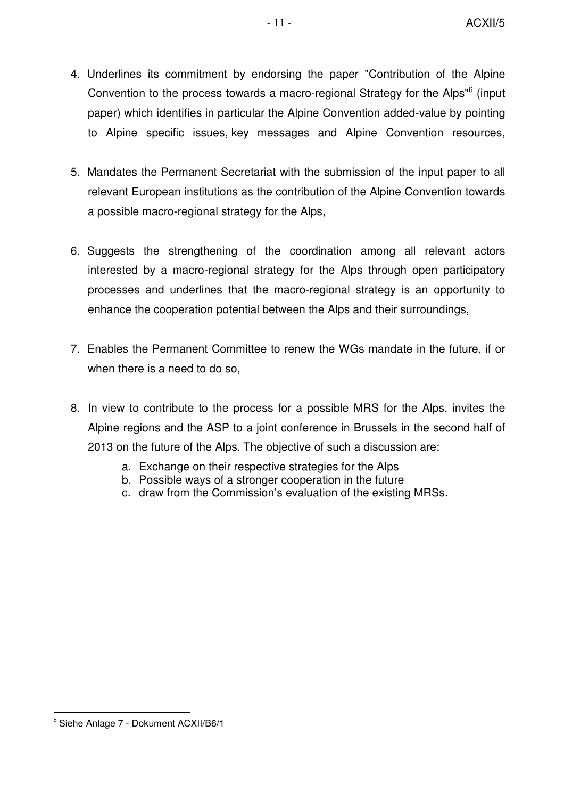- 4. Underlines its commitment by endorsing the paper "Contribution of the Alpine Convention to the process towards a macro-regional Strategy for the Alps"<sup>6</sup> (input paper) which identifies in particular the Alpine Convention added-value by pointing to Alpine specific issues, key messages and Alpine Convention resources,
- 5. Mandates the Permanent Secretariat with the submission of the input paper to all relevant European institutions as the contribution of the Alpine Convention towards a possible macro-regional strategy for the Alps,
- 6. Suggests the strengthening of the coordination among all relevant actors interested by a macro-regional strategy for the Alps through open participatory processes and underlines that the macro-regional strategy is an opportunity to enhance the cooperation potential between the Alps and their surroundings,
- 7. Enables the Permanent Committee to renew the WGs mandate in the future, if or when there is a need to do so,
- 8. In view to contribute to the process for a possible MRS for the Alps, invites the Alpine regions and the ASP to a joint conference in Brussels in the second half of 2013 on the future of the Alps. The objective of such a discussion are:
	- a. Exchange on their respective strategies for the Alps
	- b. Possible ways of a stronger cooperation in the future
	- c. draw from the Commission's evaluation of the existing MRSs.

<sup>6</sup> Siehe Anlage 7 - Dokument ACXII/B6/1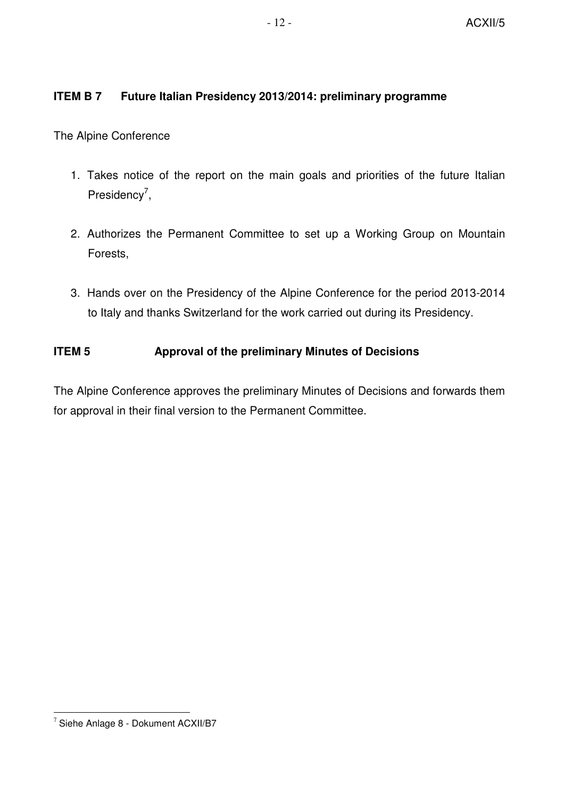# **ITEM B 7 Future Italian Presidency 2013/2014: preliminary programme**

The Alpine Conference

- 1. Takes notice of the report on the main goals and priorities of the future Italian Presidency<sup>7</sup>,
- 2. Authorizes the Permanent Committee to set up a Working Group on Mountain Forests,
- 3. Hands over on the Presidency of the Alpine Conference for the period 2013-2014 to Italy and thanks Switzerland for the work carried out during its Presidency.

# **ITEM 5** Approval of the preliminary Minutes of Decisions

The Alpine Conference approves the preliminary Minutes of Decisions and forwards them for approval in their final version to the Permanent Committee.

<sup>7</sup> Siehe Anlage 8 - Dokument ACXII/B7